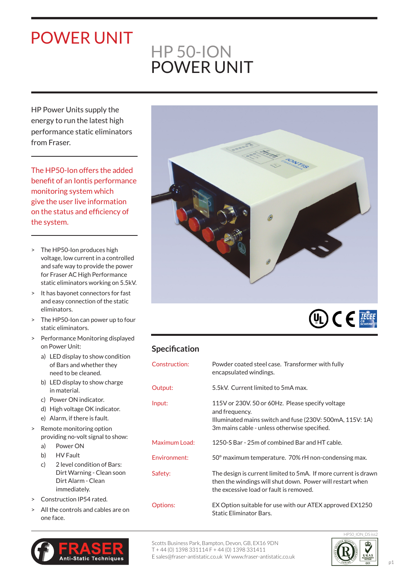## POWER UNIT

## HP 50-ION POWER UNIT

HP Power Units supply the energy to run the latest high performance static eliminators from Fraser.

The HP50-Ion offers the added benefit of an Iontis performance monitoring system which give the user live information on the status and efficiency of the system.

- > The HP50-Ion produces high voltage, low current in a controlled and safe way to provide the power for Fraser AC High Performance static eliminators working on 5.5kV.
- > It has bayonet connectors for fast and easy connection of the static eliminators.
- > The HP50-Ion can power up to four static eliminators.
- > Performance Monitoring displayed on Power Unit:
	- a) LED display to show condition of Bars and whether they need to be cleaned.
	- b) LED display to show charge in material.
	- c) Power ON indicator.
	- d) High voltage OK indicator.
	- e) Alarm, if there is fault.
- > Remote monitoring option providing no-volt signal to show:
	- a) Power ON
	- b) HV Fault
	- c) 2 level condition of Bars: Dirt Warning - Clean soon Dirt Alarm - Clean immediately.
- > Construction IP54 rated.
- All the controls and cables are on one face.







## **Specification**

| Construction:   | Powder coated steel case. Transformer with fully<br>encapsulated windings.                                                                                                      |
|-----------------|---------------------------------------------------------------------------------------------------------------------------------------------------------------------------------|
| Output:         | 5.5kV. Current limited to 5mA max.                                                                                                                                              |
| Input:          | 115V or 230V, 50 or 60Hz. Please specify voltage<br>and frequency.<br>Illuminated mains switch and fuse (230V: 500mA, 115V: 1A)<br>3m mains cable - unless otherwise specified. |
| Maximum Load:   | 1250-S Bar - 25m of combined Bar and HT cable.                                                                                                                                  |
| Environment:    | 50° maximum temperature. 70% rH non-condensing max.                                                                                                                             |
| Safety:         | The design is current limited to 5mA. If more current is drawn<br>then the windings will shut down. Power will restart when<br>the excessive load or fault is removed.          |
| <b>Options:</b> | EX Option suitable for use with our ATEX approved EX1250<br>Static Eliminator Bars.                                                                                             |